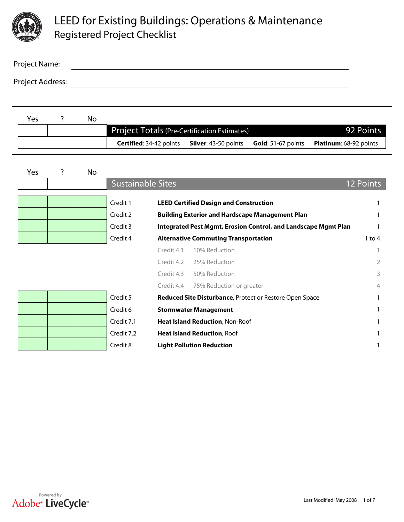

| Project Name:    |  |
|------------------|--|
| Project Address: |  |

| Yes | No. |                                                                                      |           |                               |
|-----|-----|--------------------------------------------------------------------------------------|-----------|-------------------------------|
|     |     | <b>Project Totals (Pre-Certification Estimates)</b>                                  | 92 Points |                               |
|     |     | <b>Certified:</b> 34-42 points <b>Silver:</b> 43-50 points <b>Gold:</b> 51-67 points |           | <b>Platinum:</b> 68-92 points |

| Yes                    |                                                   | No                       |                          |                                                                |                  |  |
|------------------------|---------------------------------------------------|--------------------------|--------------------------|----------------------------------------------------------------|------------------|--|
|                        |                                                   |                          | <b>Sustainable Sites</b> |                                                                | <b>12 Points</b> |  |
| $\boxed{\blacksquare}$ | $\blacksquare$                                    | $\vert$                  | Credit 1                 | <b>LEED Certified Design and Construction</b>                  |                  |  |
| $\boxed{\blacksquare}$ | $\blacktriangledown$                              | $\Box$                   | Credit 2                 | <b>Building Exterior and Hardscape Management Plan</b>         |                  |  |
| $\boxed{\blacksquare}$ | $\blacktriangleright$                             | $\Box$                   | Credit 3                 | Integrated Pest Mgmt, Erosion Control, and Landscape Mgmt Plan |                  |  |
| $\boxed{\blacksquare}$ | $\vert \textcolor{red}{\blacktriangledown} \vert$ | $\vert$ $\vert$          | Credit 4                 | <b>Alternative Commuting Transportation</b>                    | 1 to 4           |  |
|                        |                                                   |                          |                          | Credit 4.1<br>10% Reduction                                    |                  |  |
|                        |                                                   |                          |                          | Credit 4.2<br>25% Reduction                                    | 2                |  |
|                        |                                                   |                          |                          | Credit 4.3<br>50% Reduction                                    | 3                |  |
|                        |                                                   |                          |                          | Credit 4.4<br>75% Reduction or greater                         | 4                |  |
| $\boxed{\blacksquare}$ | $\blacktriangleright$                             | $\vert \textbf{y} \vert$ | Credit 5                 | Reduced Site Disturbance, Protect or Restore Open Space        |                  |  |
| $\boxed{\mathbf{r}}$   | $\blacktriangledown$                              | $\Box$                   | Credit 6                 | <b>Stormwater Management</b>                                   |                  |  |
| $\boxed{\blacksquare}$ | $\blacktriangleright$                             | $\Box$                   | Credit 7.1               | Heat Island Reduction, Non-Roof                                |                  |  |
| $\vert$                | $\blacksquare$                                    | $\Box$                   | Credit 7.2               | <b>Heat Island Reduction, Roof</b>                             |                  |  |
| $\boxed{\blacksquare}$ | $\blacktriangledown$                              | $\Box$                   | Credit 8                 | <b>Light Pollution Reduction</b>                               |                  |  |

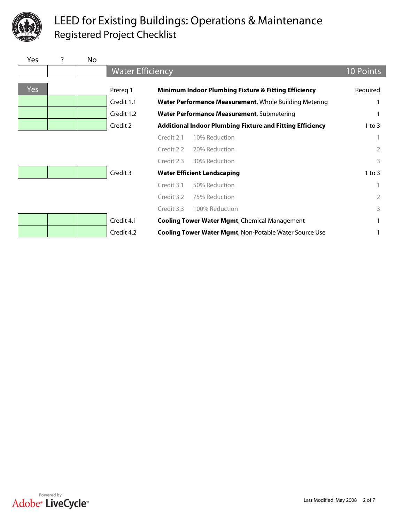

| <b>Yes</b>            |                       | No                       |                         |            |                                                                  |                  |
|-----------------------|-----------------------|--------------------------|-------------------------|------------|------------------------------------------------------------------|------------------|
|                       |                       |                          | <b>Water Efficiency</b> |            |                                                                  | <b>10 Points</b> |
| Yes                   |                       |                          | Prereg 1                |            | Minimum Indoor Plumbing Fixture & Fitting Efficiency             | Required         |
| $\vert$               | $\blacktriangleright$ | $\vert$                  | Credit 1.1              |            | Water Performance Measurement, Whole Building Metering           | 1                |
| $\blacktriangleright$ | $\blacktriangledown$  | $\vert \textbf{y} \vert$ | Credit 1.2              |            | Water Performance Measurement, Submetering                       | 1                |
| $\Box$                | $\blacktriangleright$ | $\Box$                   | Credit 2                |            | <b>Additional Indoor Plumbing Fixture and Fitting Efficiency</b> | $1$ to $3$       |
|                       |                       |                          |                         | Credit 2.1 | 10% Reduction                                                    | 1                |
|                       |                       |                          |                         | Credit 2.2 | 20% Reduction                                                    | $\overline{2}$   |
|                       |                       |                          |                         | Credit 2.3 | 30% Reduction                                                    | 3                |
| $\blacktriangleright$ | $\blacktriangledown$  | $\blacksquare$           | Credit 3                |            | <b>Water Efficient Landscaping</b>                               | $1$ to $3$       |
|                       |                       |                          |                         | Credit 3.1 | 50% Reduction                                                    | 1                |
|                       |                       |                          |                         | Credit 3.2 | 75% Reduction                                                    | $\overline{2}$   |
|                       |                       |                          |                         | Credit 3.3 | 100% Reduction                                                   | 3                |
| $\boxed{\mathbf{r}}$  | $\blacktriangleright$ | $\boxed{\blacksquare}$   | Credit 4.1              |            | <b>Cooling Tower Water Mgmt, Chemical Management</b>             | 1                |
| $\Box$                | $\blacktriangleright$ | $\Box$                   | Credit 4.2              |            | <b>Cooling Tower Water Mgmt, Non-Potable Water Source Use</b>    | 1                |

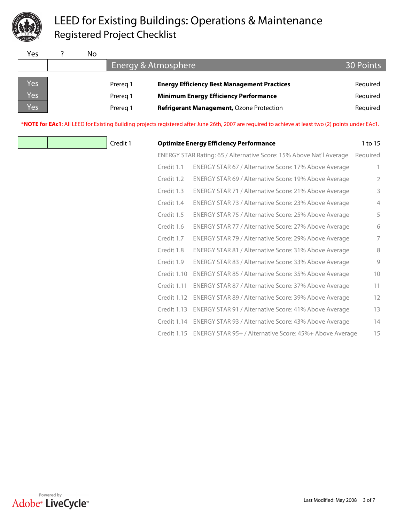

| Yes | No |          |                                                    |          |  |  |
|-----|----|----------|----------------------------------------------------|----------|--|--|
|     |    |          | Energy & Atmosphere                                |          |  |  |
|     |    |          |                                                    |          |  |  |
| Yes |    | Prereg 1 | <b>Energy Efficiency Best Management Practices</b> | Required |  |  |
| Yes |    | Prereg 1 | <b>Minimum Energy Efficiency Performance</b>       | Required |  |  |
| Yes |    | Prereg 1 | Refrigerant Management, Ozone Protection           | Required |  |  |

**\*NOTE for EAc1**: All LEED for Existing Building projects registered after June 26th, 2007 are required to achieve at least two (2) points under EAc1.

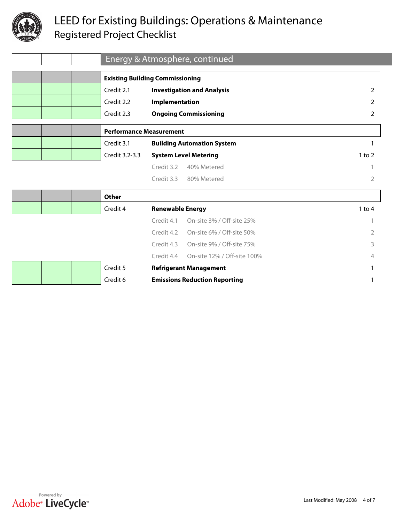

|                        |                          |                      |                                | Energy & Atmosphere, continued         |            |  |
|------------------------|--------------------------|----------------------|--------------------------------|----------------------------------------|------------|--|
|                        |                          |                      |                                | <b>Existing Building Commissioning</b> |            |  |
| $\blacktriangleright$  | $\vert \textbf{v} \vert$ | $\boxed{\mathbf{r}}$ | Credit 2.1                     | <b>Investigation and Analysis</b>      | 2          |  |
| $\Box$                 | $\blacksquare$           | $\boxed{\mathbf{r}}$ | Credit 2.2                     | Implementation                         | 2          |  |
| $\boxed{\blacksquare}$ | $\blacktriangleright$    | $\boxed{\mathbf{r}}$ | Credit 2.3                     | <b>Ongoing Commissioning</b>           | 2          |  |
|                        |                          |                      | <b>Performance Measurement</b> |                                        |            |  |
| $\boxed{\mathbf{r}}$   | $\boxed{\mathbf{v}}$     | $\Box$               | Credit 3.1                     | <b>Building Automation System</b>      |            |  |
| $\boxed{\blacksquare}$ | $\blacktriangleright$    | $\boxed{\mathbf{r}}$ | Credit 3.2-3.3                 | <b>System Level Metering</b>           | $1$ to $2$ |  |
|                        |                          |                      |                                | Credit 3.2<br>40% Metered              |            |  |
|                        |                          |                      |                                |                                        |            |  |
|                        |                          |                      |                                | Credit 3.3<br>80% Metered              |            |  |

|                               |                        |                          | Other    |                         |                                      |        |
|-------------------------------|------------------------|--------------------------|----------|-------------------------|--------------------------------------|--------|
| $\blacktriangledown$          | $\boxed{\mathbf{r}}$   | $\overline{\phantom{a}}$ | Credit 4 | <b>Renewable Energy</b> |                                      | 1 to 4 |
|                               |                        |                          |          | Credit 4.1              | On-site 3% / Off-site 25%            |        |
|                               |                        |                          |          | Credit 4.2              | On-site 6% / Off-site 50%            | 2      |
|                               |                        |                          |          | Credit 4.3              | On-site 9% / Off-site 75%            | 3      |
|                               |                        |                          |          | Credit 4.4              | On-site 12% / Off-site 100%          | 4      |
| $\vert \bm{\mathbf{v}} \vert$ | $\boxed{\mathbf{r}}$   | $\blacktriangledown$     | Credit 5 |                         | <b>Refrigerant Management</b>        |        |
| $\overline{\phantom{a}}$      | $\boxed{\blacksquare}$ | $\blacktriangleright$    | Credit 6 |                         | <b>Emissions Reduction Reporting</b> |        |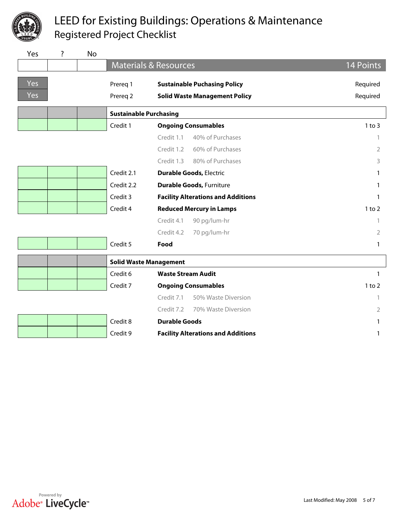

| Yes                    | ?                        | <b>No</b>              |                               |                                           |                |
|------------------------|--------------------------|------------------------|-------------------------------|-------------------------------------------|----------------|
|                        |                          |                        |                               | <b>Materials &amp; Resources</b>          | 14 Points      |
| <b>Yes</b>             |                          |                        | Prereq 1                      | <b>Sustainable Puchasing Policy</b>       | Required       |
| Yes                    |                          |                        | Prereq 2                      | <b>Solid Waste Management Policy</b>      | Required       |
|                        |                          |                        | <b>Sustainable Purchasing</b> |                                           |                |
| $\boxed{\blacksquare}$ | $\boxed{\blacksquare}$   | $\Box$                 | Credit 1                      | <b>Ongoing Consumables</b>                | $1$ to $3$     |
|                        |                          |                        |                               | Credit 1.1<br>40% of Purchases            | 1              |
|                        |                          |                        |                               | 60% of Purchases<br>Credit 1.2            | 2              |
|                        |                          |                        |                               | 80% of Purchases<br>Credit 1.3            | 3              |
| $\boxed{\blacksquare}$ | $\boxed{\mathbf{r}}$     | $\blacktriangleright$  | Credit 2.1                    | <b>Durable Goods, Electric</b>            | 1              |
| $\boxed{\mathbf{v}}$   | $\boxed{\mathbf{r}}$     | $\boxed{\mathbf{r}}$   | Credit 2.2                    | <b>Durable Goods, Furniture</b>           | $\mathbf{1}$   |
| $\boxed{\mathbf{r}}$   | $\boxed{\mathbf{r}}$     | $\blacktriangleright$  | Credit 3                      | <b>Facility Alterations and Additions</b> | 1              |
| $\boxed{\mathbf{v}}$   | $\boxed{\mathbf{r}}$     | $\boxed{\mathbf{r}}$   | Credit 4                      | <b>Reduced Mercury in Lamps</b>           | $1$ to $2$     |
|                        |                          |                        |                               | Credit 4.1<br>90 pg/lum-hr                | 1              |
|                        |                          |                        |                               | Credit 4.2<br>70 pg/lum-hr                | $\overline{2}$ |
| $\blacktriangleright$  | $\Box$                   | $\boxed{\blacksquare}$ | Credit 5                      | Food                                      | 1              |
|                        |                          |                        |                               | <b>Solid Waste Management</b>             |                |
| $\Box$                 | $\boxed{\mathbf{r}}$     | $\Box$                 | Credit 6                      | <b>Waste Stream Audit</b>                 | $\mathbf{1}$   |
| $\boxed{\mathbf{v}}$   | $\overline{\phantom{a}}$ | $\blacktriangleright$  | Credit 7                      | <b>Ongoing Consumables</b>                | $1$ to $2$     |
|                        |                          |                        |                               | Credit 7.1<br>50% Waste Diversion         | $\mathbf{1}$   |
|                        |                          |                        |                               | Credit 7.2<br>70% Waste Diversion         | $\overline{2}$ |
| $\boxed{\mathbf{r}}$   | $\Box$                   | $\boxed{\blacksquare}$ | Credit 8                      | <b>Durable Goods</b>                      | 1              |
| $\blacktriangledown$   | $\blacktriangleright$    | $\vert$                | Credit 9                      | <b>Facility Alterations and Additions</b> | $\mathbf{1}$   |
|                        |                          |                        |                               |                                           |                |

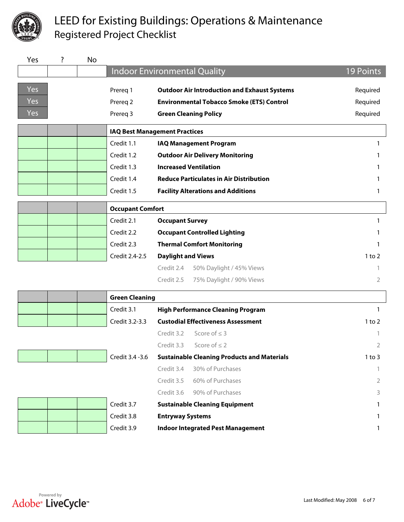

| Yes                   | ?                       | <b>No</b>              |                         |                                                     |            |
|-----------------------|-------------------------|------------------------|-------------------------|-----------------------------------------------------|------------|
|                       |                         |                        |                         | <b>Indoor Environmental Quality</b>                 | 19 Points  |
| Yes                   |                         |                        |                         |                                                     |            |
|                       |                         |                        | Prereq 1                | <b>Outdoor Air Introduction and Exhaust Systems</b> | Required   |
| Yes                   |                         |                        | Prereq 2                | <b>Environmental Tobacco Smoke (ETS) Control</b>    | Required   |
| Yes                   |                         |                        | Prereq 3                | <b>Green Cleaning Policy</b>                        | Required   |
|                       |                         |                        |                         | <b>IAQ Best Management Practices</b>                |            |
| $\vert \vert$         | $\boxed{\mathbf{r}}$    | $\vert$                | Credit 1.1              | <b>IAQ Management Program</b>                       | 1          |
| $\boxed{\mathbf{r}}$  | $\boxed{\mathbf{r}}$    | $\boxed{\blacksquare}$ | Credit 1.2              | <b>Outdoor Air Delivery Monitoring</b>              |            |
| $\blacktriangleright$ | $\Box$                  | $\Box$                 | Credit 1.3              | <b>Increased Ventilation</b>                        |            |
| $\blacktriangleright$ | $\boxed{\mathbf{r}}$    | $\Box$                 | Credit 1.4              | <b>Reduce Particulates in Air Distribution</b>      |            |
| $\blacksquare$        | $\Box$                  | $\boxed{\blacksquare}$ | Credit 1.5              | <b>Facility Alterations and Additions</b>           | 1          |
|                       |                         |                        | <b>Occupant Comfort</b> |                                                     |            |
| $\boxed{\mathbf{v}}$  | $\boxed{\mathbf{r}}$    | $\blacktriangleright$  | Credit 2.1              | <b>Occupant Survey</b>                              | 1          |
| $\vert$               | $\boxed{\mathbf{r}}$    | $\Box$                 | Credit 2.2              | <b>Occupant Controlled Lighting</b>                 | 1          |
| $\boxed{\mathbf{r}}$  | $\Box$                  | $\Box$                 | Credit 2.3              | <b>Thermal Comfort Monitoring</b>                   | 1          |
| $\boxed{\mathbf{r}}$  | $\blacktriangleright$   | $\vert$                | Credit 2.4-2.5          | <b>Daylight and Views</b>                           | $1$ to $2$ |
|                       |                         |                        |                         | 50% Daylight / 45% Views<br>Credit 2.4              |            |
|                       |                         |                        |                         | Credit 2.5<br>75% Daylight / 90% Views              | 2          |
|                       |                         |                        | <b>Green Cleaning</b>   |                                                     |            |
| $\Box$                | $\Box$                  | $\Box$                 | Credit 3.1              | <b>High Performance Cleaning Program</b>            | 1          |
| $\boxed{\mathbf{r}}$  | $\boxed{\blacksquare}$  | $\boxed{\blacksquare}$ | Credit 3.2-3.3          | <b>Custodial Effectiveness Assessment</b>           | $1$ to $2$ |
|                       |                         |                        |                         | Credit 3.2<br>Score of $\leq$ 3                     |            |
|                       |                         |                        |                         | Credit 3.3<br>Score of $\leq$ 2                     | 2          |
| $\blacksquare$        | $\boxed{\blacksquare}$  | $\Box$                 | Credit 3.4 - 3.6        | <b>Sustainable Cleaning Products and Materials</b>  | $1$ to $3$ |
|                       |                         |                        |                         | Credit 3.4<br>30% of Purchases                      |            |
|                       |                         |                        |                         | 60% of Purchases<br>Credit 3.5                      | 2          |
|                       |                         |                        |                         | 90% of Purchases<br>Credit 3.6                      | 3          |
| $\blacksquare$        | $\Box$                  | $\Box$                 | Credit 3.7              | <b>Sustainable Cleaning Equipment</b>               |            |
| $\blacktriangleright$ | $\overline{\mathbf{r}}$ | $\boxed{\mathbf{r}}$   | Credit 3.8              | <b>Entryway Systems</b>                             | 1          |
| $\Box$                | $\Box$                  | $\Box$                 | Credit 3.9              | <b>Indoor Integrated Pest Management</b>            | 1          |
|                       |                         |                        |                         |                                                     |            |